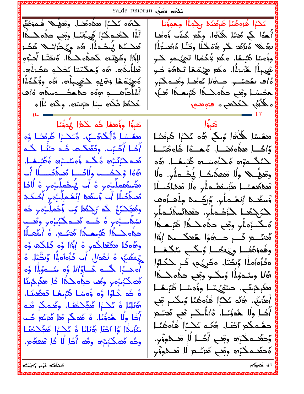Yalde Dmoran لْحَدَّهُ مَكْسُرًا مَحْدُهُمُمَا. وَتَعَهُّلُمْ قُدْوَهُمُ كثار فزوعُنا هُرمُنَيْ رَبْحُنَا وَحَوَيْنَا أَمَلَا حَكَمِهِ إِذَا كَهِ زُنُهُ الْمَجْمَعِ حَدْهِ حَسَنًا الْمَا أُهدًا ﴾ مُنا لَمَدُهُ!. وكُم كُنَّفَ وُهمُدا مَلاَسَمْهِ لِمَسْمَلُهِ. هَه وَلِحَمَّاسُلا هَضَـ; سَّكْلًا هَٰلاَهُدْ لَكُو شَّەْكُلْلْ وِكْتُلْمْ هَٰلَاشْتُوْلُلْ لِلزُّالِ وكَهْنَـرِهِ لِكَحِذُهِكِـدَا. هُبِكْتُـل أُصْرَوهِ وِؤْهِمُا هَٰٓبِـهَا. هكُمْ تُكَمُّلَا نَعِيَّـهِ كُــُو هْيِ الْمُتَنْبَأَا. مَكْع مِيْتَمَا لَــاهَٰ خُــرٍ تَعْلِلُبِيَّةِ. وَمَ وَجِعَكْتُمْلِ كَصْحْبِ هِكْتِلَةِ. ەُ/ف بەَصمُب ھەمُعَا مُەھَبا وَهُدەكْبُر أَمْلَمْ دَاءَ هُــم مِنْهُمْ مَــم مِنْهُمْ مَاه حَصَسًا وَبِّع حَدُّه حَسَّلًا هُبُعَـدًا مُحَبَّد لْحَكْمَا شَكُّه مِبْلَ حَبْسُهِ. وكُمْ عْلَا \* ملَكُمَ لِمُلْكِعِبٍ \* فَزَوْهِمِ شَرْدًا وذُهِمًا هُو حُكْرًا لِمُؤْمَّا **ئفرۇل** همَسْلِ لَهُدُهُ! وَلَى هُ مَكْرًا هُبِمُنَا همُسُلِ ةُأَحْدَّمَــَمْ. ةُحْــَٰزِا هُبِمُنْـا وُه أَكْراً أَكْتُرَبٍ. وتُعُمَّدُها شَو بِنُفْراً لَكُو وَّاحُط هَدُه هُنَّطٌ. هُمُصَّدَا خُلُّهُ هُنَّط كْتْتْرْدْ مْكْتْ وْمْشْتْرْدْ وْكْبْتْلْ. للنُكْمَوْهِ هُلْأُوسْدِ هُبُكْلٍ. هُو رَّهُۥۢ وَحْكُــــــــد ولَٰائُــــــا مُعلاَّكُــــــلًا أَب وتَعهْبِ وَلَا تَعْمَدُكُمْ يُضُمَّابُ. وَلَا هَزَّمِيَعُمِهِ أُرِيَّهِمِ ۚ قَ ۗ أَبِ ۖ يُحَشَّهِ أُمْرَى ۖ وَ ٱلْأَصَلَ تَعْدَمُعْمَسًا مِذَمِّعْشُـمِلُرِ وَلَا تَعْدَلَكَــلَّا ثَعبكُكَبلًا أَب وْسِتّْعَظِ إِنْشَـٰهِ إِنْهُومِ الْصُنْحَظِ وْسكَنَّىمْ إِنْشَـٰمَلَٰنِ. وَْرَضَـٰـٰهِ وِلْمَـٰٓوَٰہَـٰ وكَفِّكْتُهُمْ كُمْ تُرْكِعُوا وُبِ وَّقُولُورُوسِ هُو لْكَرْلَاهُمْا لْأَرْشُـٰداَبِ. حَقْلاَتُسْلَائُـٰداَب سُكُسِبُورِ ۚ قُسْمَ هُسْمَكُنُ ِبَوْمٍ وَهُسِي ەُكْسۇەلمْر وْبْعى ھەْەكىدا ھَرْمْدَا حِبْهِ حَــدًا هَبْـمـدًا هُـَـُــص. هُ أَسْمَـلًا كُنْتُ مِ كَبِ حَسِبُوْا هُمْكَسِيمَ إِنَّهُا وِهُوطًا مِنْتَعَلِيكُوبٍ وَ إِوَّا وَو كَلِكُتِ وَو وفُووْهُنَا وِيْهِمُمَا وُكْبِ مَكْمُنَا يْ بِنَعْسَ ۚ قَ نُغُمرُل ۚ أُب خُزْهِأَه بِلَٰ ا وَنَشَاء ۚ ةَ ەكْزُەأەلاً كَرْبَكْتًا. ەكْرىگەر كَـر جْكَـاوُا أُهْجَا إِلَّــهِ خَــارُّ أَنَّا وُهِ مِنْــوْدِلَا وُهِ هُمُا وِسُوْمِأَا وُسْكُمْ وِثْقِي حَدْهِكُمَا كُعكْبُرُومِ وَمُعَدِّدِهِ حَذِّهِ ذَا مَخْرِجَهُمَّا هَكْبِدْبِكَ، حِنْتَهِكْشَا وِؤْهِمُا كَبُرِهَا ةً حُم خَاوُا وُه وُهِمَا هُرُممًا تَعفَّصَلًا. أَهْبَٰنَى. هُكُمْ كَكْرًا هُزُهِهُمْا وُسِكْسٍ بِّعِي هَٰلَٰلًا ۚ كَٰذًا هَٰذِكَهُٰلًا. وَهُدِكُمْ هُدِ أُحُــل ولَا حَدَوْسًا. وْالْمَكْمِ مْعِي هَٰذِكُــع أَجًا وَلَا جُدَوْيًا. ۞ مُدكَّر قَدا مُرْبَعْرِ جَبّ حمْـمكْم ٱخْسْلْ. هُنّـم عْكَـرُا هُزُههُـٰل مَنْزِيدًا وَا أَحْنَا هَٰنَامًا ۚ كَذَا هَٰذِكْمَٰنَا وًحكْمُده حَمْدٍ وَهُمْ لَا مُدْ اللَّهُ هُمْ دَوْوُبٍ. وجَّه مُدكِّرْوه ومُّد أُجَل لَا جُل مُعوَّةٍ ەْككىمكترە وقىم كۆكىم لَا تْعىكلوۋىر

كمنكس توب وكاونك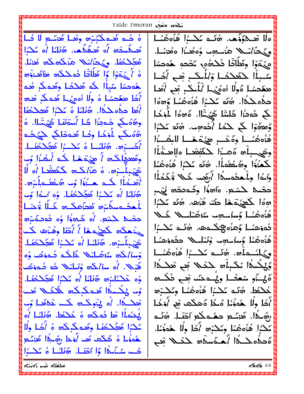Yalde Dmoran ةً هُـه هُـهگُرْبْرْه وْهْـا هُزْـُـهِ لَا كُـا تُعْبِكُسْتُمْ أَوْ تُعِيفُكُمْ. وَقَالَا أَوْ كَكْرًا مُجَدْعُمُل. وِكِجُرُبْ مِنْكُومِكُو مُزِيْلِ. هُ أَيْهَوْا وَالصَّلَاثَا ثَمكَّلا مَثَاثَتِهِ حَدْدِسُل مَنْ يَا إِلَّا اللَّهُ أَفْلَاهُ أَلَّا وَقُدِمَكُمْ قُدِمَ أَخْلَ هُمُحِسًا ۚ وَلَا أَووِيْهَا هُدِمَكُمْ قَدْهِ أَهْلِ حِدُّهِ حَـٰدًا. وَمَثَلَّنَا ۚ يَحْدُلُ هَٰجِحَـٰهُنَا وَهُمَكُمْ خُوبُرًا كَلَّ أُسْقِسًا هَيُشْلًا. هُ وَّهُكُمْ أَوْخُا وِضًا هُدْدَاكُمْ حَيْجُد أَكْسِرْهِ. هَالْمُا هُ كَكْسُرًا هُجَكْهُمُا. ومُعدلْهَالْكُلُّهِ أَرْ هَيْهَمْ الْمُحْدَدُ أَنْكُمْ أَوْب تَعْيَىلُوبُه. ةُ هَزَالِكُ مَكْمَعْقَدَا أَهْ لَلْ أَتَعِيدُاً لَكُمْ لَعَيْنُوا وَبِ الْمَنْعَشُمِلَيْتِهِ. كَانُلُّا أَه كَلْهُ كَجَلْكُمُنَا. وَه ٱسْمَا وَب أهدُ وسلَّمَرْه هُدَٰوَهَا وَ كَسَلَّا قُمْسًا حصَّكَ كَشَعَرَ. أَوْ كَسَوْرًا وَوَ قَوْصَفَتْرُو مكْ مِتَّوَاءً لَتَعَلَّى مَا أَمْ أَحْتَارَ وَكُنَّوْهِ كَلَّمَا مِنْ هْهْدِكْتُرْهِ. وْݣَالْمَا أَو كْلْسْ مْحْبَّا مْجَعْلْهُمَا. وْسْأَاءِكُلُّهُ شَارْهُمْاتِيْهِ كَالْحُكُمْ شُمْؤَهُمْ وُهِ كَبْرِيا". أو سألكُوه وُنُبابْيا حُو شُووْهُم وُه عْكْمَامْ هُ هُمُلْمًا أَو كَكْرًا هُجَكْهُمًا. ۇس يېڭىما ئىمگېگە ئانگىلا ئىس تَعْلَـــٰٰٰھُا. أَو لِمُبْوِكَــْ مِنْ حَمْدَ الْمَحْمَــٰ وَب لِكِنُه أَلا قَط ثُمِكُوه ۚ مُحْكُولِ. وَمُنْاسُلِ أُه كْتُرًا هُجُحْهُمًا وهُدكْبِكُم ۚ أُحُا وَلَا هُوَدُما وَ هَكُم مَّد أَوْحا رَقَ إِذَا مَّتَرَكُم كُبِ مَنْ ذَٰلاً وَا أَتْقَبَلَ. وَقَالُهَا وَ كَلْبُوا سُلمُلُک ذَبَب اللهُ اللهَ

وَلَا تَعْلَمُؤُوْمٍ. 2ُنُّ يَكْبُرُا قُؤْوِهُمْا وِيَجْزُاسْلا هُزَسِيْفٍ وُهِ هُدًٰا هِ هُزَسًا. وَيُوْمَ وَهَلَاتُنَا شَكْشُوبِ كَصْحَمِ هُوَجِسًا سَّبِلًا كَعُكْسًا وْٱلْكُرِ مِّي ٱصَّا هِهَجِسًا هُولًا أَهْهُكِما ٱلْمُحْكِمِ ثَمِي ٱهْمَا حِفْهِكُمَا. هُنَّهُ مُكْسُرًا فُنُهِهُمَا وُهِهَا لَّكُمْ هُودُا كَاشْلَ هَيُمْلًا. وَهُوَا لَمُؤْكَّلِ أَوُهُوَا ﴾ لأَمَّا أُشُوبٍ. وَأَمَّا كُلَّمَ أَسْتَرَبَّ فَوْهِ مَا الْمُسْرِ مِنْهُمْ مِنْ الْمُسْرَارِ وهي بأه هُما الحكَّفِيها ولِلصَّارَ لَّكُمُّزُوْا وِرَهَ مُعْثَماًا. رَهُ مَكْثَرا قُزْهِ هُمَا وَٱللَّهَ ۚ وَلَمْحَدْمَسَدًا أَرْهَيْسَا خَلَيْلاً وَّكَلَّهُ لَهُ ا حصَّم للسَّمر. 6/5\$ا وصَّحصَص لِيٓب ابْكُمْ هُمَّا حَتْ فَرْهِ. هُمَّا كَمْ إ كَزْهِكْمَا وُسْأَسِيْهِ مْتَرَكْتْلْسَلَا كَمَلَا ثَّەزىئىل ۇھزەھىگىمى. شَکْم كَكْبُرُا كُزُّەكْمُا وُساْسەپ ۇنْىْلىكا ھۇھۇھمُىل وَيَائَــدَاهِ. هُنَــدُ كَــْـزًا فُزْدَهُنَــا وَيَحْمَدُا مُكْبِلُهِ حَكَمًا ثَبَ مَحْكُمًا كَهُــزُو سْمصُــا وهُـــمسَّــ ثَبْـــوهُ صَــْـــوه لْمَحْكَمَا. هُنَّـه كَحْبًا فُنُوهُمُا وَكَحْرَوه أَكُل ولَا هُوَوُمُا وَمِكَا وَهِكُم هُو أَوْحُـا رَبُّهِ جَمَلَ مَنْ تَصْدِيمَ حَدَّ الْمَقَالِمُ الْمَحْمَدِ مِنْ الْمَحْمَدِ مِنْ الْمَحْمَدِ مِنْ كَكْبُرًا قُذْهَهُمْا وَكَكْبَرْهِ أَكْرَ وِلَا هُوَذُمُا. كَحِدُّهِ لِمُسْكَرًا أَبْصَهُمْهُ لَكُمْ لَكُمْ تَعْبَ

 $\mathbf{A}$ n  $\mathbf{A}$  68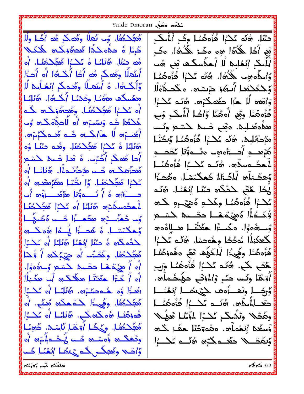Yalde Dmoran مُعِكْدُمُل. وَبِ تَعِلَلُهِ وَمُعَكِّرٍ مُعَهُ أَجْلَ وَلَا كَّمْا ةُ حِكْمُكُمُّا مُحْجَمُونَكُمْ لَمُكَكِّلًا هُو مِنْلا. وَنَايُبَا وَ يَحْبُلْ هَٰذِكْهُنَا. إِنَّ أَمَّكَمَلَا وَهُدِكْمٍ شَد أَكْل أَكْسُوا أَو أَدَّا وَٱكْتُوا. وَ ٱمْعَطَلَا وَهُدِكُمْ إِنْعُلُكُمْ لَل همّسكُم هوَّمُا وقدْا أَحْدَةًا. وَقَالَها أَه يُكْرُا هُدَيْكَهُمُا. وهُدْهُوْكُدُه كُ لْحَكْفَا هُـه وْسَمْـرْوه أَو لَلْحِذْةِ كَـرَه وُب أَهْدِمْ لَا هَزَالْكُسْ هُدَ هُدَمْكُرْمْ وَ. وَكُلْمًا ۚ يَكْبُلُ مُحَكِّمُهُا. وَهُدِ حَنَّا وُهِ أُحل مُعكَرِ أَكْبُو. ۚ قَالَ شَيْئًا حَسَمَ مُحزَّمكَ مَـ مَرْحُرُنُـملَا. مَّنْلَـا أَه كَّكْرًا مُجَكْحُمُهُا. وَلَا تَشْتَبَلَّا مِجْمَوْهُدِهِ إِنِّي حَسَنَةَ اللَّهُ مَا أَنْسَسْمَةُ لَمَا هَلَائِكَ مَنْ ذَوْا وَالْمَسْنَةِ وَالْمَسْنَةِ وَالْمَسْنَ أَحْدُدْ مِدَرْدِهِ وَكَامًا أَوْ كَلَّا هُدَكَ هُمُ وً شَعَزُ مِنْ مَكْمَــزُا كُـــَبِ هُ قُبِيْلِ وَمِكْتَسْهِ فَيُحْصَرُ إِنَّ هُ وَهُ مِكْتُ لِحَدْهِ \$ حَنْا إِنْعُنَا وَٰنَانَا أَو كَحَزَا هَجُلْهُمُلْ. وَلَحُنُوبُ أَنْ هِيْكُلُونَ أَنْ تُحْلَمُ أَهِ أَ هَيْهَمْا حَصْبِهِ كَشْعِ وُسِعْهِ وَا. أَهِ أَ يُمِنْزَلَ هَهُمْتْلِ مِلْكُكُ وَ أَبَّ مِكْنِدًا ائْتِيْرًا وَمَ هُدَدَسْتِرْهِ. وَكَانُا أَنْ كَتْبَرًا مُعَكِّمُهُ. وَهَيْ الْكَهْمِكُمْ مُعَبٍّ. أَهْ فُوفِعُنَا وَوَحْدِهِكُمْ. وَقُلْنَا أَو كَحْزَا مَعَكَّمُهُ. وَحِكَمْ أَوْحُمَا لَاسْكَ. كَعِمْا وْتَعَكَّدُهُ وُهْشَدُهُ شَبْ لِمُشْبِهِلْتُرْهُ أَهْ وَاصْلا وَهُدِكُمْ لَكُمْ يَعْمَلُ إِنْعُمْلُ صَّد

حنُلا. هُنَّه كَجْرًا فُنُوهُمُا وَكِّي ٱلْمَحْرِ ھی اُڪُل لگُهُّا وہ مڪْ; لَگُهُّا، مَڪُّر أَمْكَرِ إِنُعْلِيكَ لَا أَحِكْمِيكَتَ بِّي شَيْ وُالْمُوهِبِ لَمُكْثُوا. هُنَّهُ كَتْبَرًا فُزُوهُمُا وُكْكِكُعَا أُسِعُوْ حَتِسْمٍ. مِكْحِكْتَالَا وَاهْدِهِ لَا هُزَا حَقَّدِكَّةٍ وِي وَكَّدَ حَكَمَّا هُنُّوهُمُا وَبَّعِ أَوْهُمَا وَاصُا أَلَمْكَ وَب مِلْمُوَمُطِيطٍ. وَقِي شَمِيعٍ كَشَمْ وَتُسَبِّرَ هَ ُحزُنُلبِهِ. هُنّه عَدْ ا هُزُههُمْا وُبِكَتْبا كَبْعِيبِ أُحِسَنَهُ وَمِن ونُسْمَعُوْلَ كَتْحِسْبِ لْمَشْــٰمِيدُان، شُكَّــٰ شُكْــُمْ الْمُؤْمِنُّــالْمُ الْمُسَلَّى وُهكَـزِلُم ٱلْمُكْرَبُةَ كَـمَكْتَسْـلِ مِهْجِـزُا لِكُمْ لَهُمْ لِحَفَّلُا صَنُا إِنُعُمُا. 2ُفَّ ككرًا فُتُوهُمُا وِكُكُو وُهِيْءِهِ كُلُو وَحَكَمُهُمْ أَهْجَيْهِ وَأَهْلِهِمْ الْمُسْتَمَرِ أَوُكِدُوا. وَكُكّْرًا حَقَيْتُكُمْ هَكْلُوهُ وَهِ لْكَعِنْدِلَمَا شَحْحُل وهُوحِسُل ، وُكُو كَحْسُرُا هُنُوهُمُا وِهَيْ:َا ٱلْمَكْلُفُ ثَقَعٌ وَهُوَوْهُمُا هَنْبِ كُبِ. هُنُم مُكْبًا فُنُوهُمُا وَبْنِ أَوْݣُا وِنَّــْ دَـَـْ وْالْمُوْتَّى حَكّْـدَاه. وَرَجْهَا وِنْعَسْرُهِ حَيْدَهُمَا إِنْهُمْهَا حْفَىلْلْمْهِ. هُنَّے كَمْسُرُا فُزُهِكُسَا وهُصْلا وتَمُكْر كَكْرًا لَمُؤْسُلِ تَعَهُّلا وْسِعُدا إِنْعُمانُهِ. وهُوَوْخُلَا هِقَا: كَلَهِ وُبِّكْتُمْ لَا حَقْبُ هَدْرُهِ هُ تُمْ حَكْسُرًا

سُلمُلُک ذَبَب اللهُ اللهَ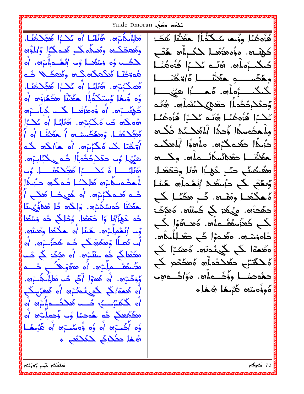Yalde Dmoran قُذْهَ هَذَا وَوَّى سَكَّتُماْ هَيْنَنَا هَدَّ قْلِلُمْتَرْدِهِ. وَكَانُمْا أَوْ كَكْرًا قَعِيْكَمُعُمْلَ. وكُلِمَشْكُلُهِ وَكُلِمُكُمْ كُلُمْ كُلُّ وَٱلْمُؤْهَ كَوْلَــْه. ەۋەھزۇملا كْكَــْبِلَّا ْ هُـَــى لِكْتُبِ وَمَا وَسُعْدًا وَمَا إِنْكُمْ وَلَٰهَمْ وَلَٰهُ وَمَا أَنَّ كَىكْسۇەلەھ. «كُلّە كْكْسْرا فُزُەھْسًا مُەتكْىل مُحْكَكُوكُ وَمُعَكُمْ كُــْ وَ وهَكَسْبِ هِقَنْشَا هَاوْجُنْسَا كُعكِّرْهِ. هَالْمَا أَو كَحَرَا هَٰجَكَهُمَا. كَمِكْمِ وَالْمَامَ وَالْمَسْرَدُ الْحَمَيْنِ الْمَسْلَمَ وُّهِ وَجِمَا وَسَيَّكَتُواْ حَقَيْتًا مِنْصَوَّرَةٍ مِنْ أَو وُحثَكْرِكُثُما الْمَعْكَمِكْسُفْلُرْ». «كُنُّمَا كَهْشَــْرُه. أَه ذُهَهْزُهُــا كُــَــَ كَبِلَـَــْرَه كَكْرًا فُتُوهُمُا هُنَّه كَكْرًا فُتُوهُمُا هُولَاهِ مُا وَلَكْتُرْهُو. هُنْائِلْ أَوْ كَلْتُمْ! وأهدُه سِدًا وَجِدًا أَلْمَحْكُمْ ذَكْرِهِ كَتِكْتُصُلْ. وْتْمَكّْسْسْبْقْ أُحْقَنْشَا أَنْ أُ دَّنِيهَا حَقْدِيْدُهُ. وَلَهُوَٰٓا ٱلْمَعْلَمَة أَوْطُبْلِ لَكَ هَكَبْتِرْهِ. أَهْ هَزَالَحْمَ لَكُمْ هَغَنْتَــا حَعْدَتَسَدُتَــه أَنْ . وَحْـــة هيَّا أَمِ حَكْرِحُثُم! هُـم حَكْرَ الْزَمِهِ. كَانُلْسَا فَي كَلْسَنَا كَيْݣُلْكُلّْسَا. وُب مَقَنِّصَفَّ حَبْ نَكِيءُا هُلا وحَقْقَصًا. أهدُوسكُرُو مُحلِّئًا شُوكُلُو صَرْحُلًا وَمِعْتَمِ لَكَمْ دَرْسَعُكُمْ إِنْعُسَاءَ هَشَا ئُــه مَــه كَــُمْ مِنْ، أَه لَمَعِيمًـا مَكَــمٍ أَ ہُمحُکُما وَمَقْرِہ. کُے مکَمَّا کُے هَعَيْنَا خَوسُكُرْوهِ. وْالْحَرْهِ دُا قْعَدْؤُيُّ مِنَّا حَمُحَبَّه. ٥) هَذِ كُمْ حَسْلَاه. ٥٥كَمْحَـٰ دُّه خْلِيٌّ ٱللَّامُ وَا دْتَعْقَعَا. وُدْلِكُمْ دُّه وَسُئُعَا كُمْ كَعْنُسْمُشُمْلُوهِ. هُجْمَةً وَالْكُمْ وًبِ إِنْعُدِلَتِرْدٍ. هَمْلُ أَنْ هَكْتُنَا وَقَدْتُونَ. خُاهوَمْــــره. هَ مُحـــدَوْا حُب حَمْدللَّــدَّرَه. أَبَّ نُصِلًا وْمِمُّوْمَكُمْ شُمَّ هُجُّوشٍ ، أَه وَهُعَمَّا لَكَمْ لَكَيْدَتُو. وَهِنَدْ إِنَّكُمْ لَكُمْ أَعْلَمْتُمْ الْمُعَامَّةِ الْمُعَامَّةِ ا مَدَّهْلِگُ شَهْ سُلَّبْرَهَ. أَه مَرَّكَ: گُلُّ شَب ەَ كَمُتْتَنِي حَعُدَدُه أَه مُحَكَّمُع كَب مْنُسْمُشُدْ مِلَّةٍ مِنْ رُهُ مِعْهُوْ اللَّهُ وَحَسَنَةٍ حمْدمسُـــا وذُكَـــداًo . 0\$اَكْـــدەت وَوْكَتْرْ3. إِنَّ الْحَدَوْا إِنَّكَ كَبَّ تَعَالِمُكُمْتِرُهِ. ەُوۋُەشە ھَبُعْل ھُعْلَمُ أَه هُمهُ/ لَكَ الْمَالِمُ مِنْ مَا مِنْ مَا مَعْ مِنْ أَه لَكَمْتَرْكَ دُعَبٍ مُحْدَثَــوِلْمْ رَهِ أَهْ مَكَمُعَكُمْ ثُمَّ هُوَدِيْنَا وُبِ وَجَوَلَتِهِمْ أَوْ وَّە ٱكْسَرْه أَو وُو وُومِّسْرُه أَو كَبُرْهَا ھُمُّا حثَّلاَکُم لِمُلْکُبِ \* سُلمُلُک ذَبَب اللهُ اللهَ  $\mathbf{X}$ م  $70$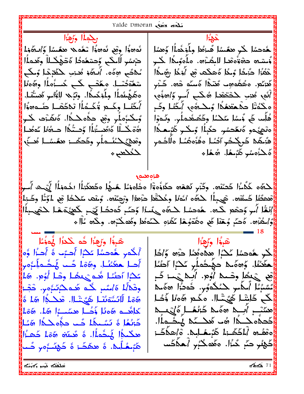Yalde Dmoran رجداً ورَجْرًا تحدُّا ثَّەھُوا وِبْعِ ثَەھۇا ئىقىمە ھقىئا ۋايىھُول هُدَسُل كُرِ همُسُل قَيْرُها وِلَوْجُداًا وَهَيْدَا حْرَسُرِ لَاعْكَبِ وُحِسْعُودًا وُخَوْبُكُمْااً وِهُدِمَاًا فُسْتِهِ حَقْوَّەتْعَا لَلْبِكُنْزَة. مَلَّەوُجْدَا خُبْر غْفُرًا حَبْحًا وُحْا هُعكْم بْعِ أُوْخُا رِبُّحْكًا مُكْتَبِ وَهُهَ. أُنْتُهُوْ هُدْبِ لَكُثَرِكَمْ وُنْكُمْ شَقْتُنْبًا. مِكْتَبِ كُبِ كُسْزُهِ أَا وِهَٰهَا كَنْبَطْرْ، وَهُقُومِ وَيَنْدُلُّ وَسَدُّو ذَرْقٍ كُنْبَرٍ أَنُّهِ هُزِبِ لِكَتَّفَعْدَ هُكُب أُسِرِ وَاهِؤُهِ، ٥كَمْبِنُه أَا وِلَوْجُمِدًا. وتَبْهِ لِلْوَّٱسِ كَعِينْتَهَا. مكْمَتْا حِمْعَقْعُدًا وُحْدِثُورٍ أَحْثَا وَكَهِ أُمكْسًا وكُــمْ وُكْــمُلًا لْمَكْمْــا حنْــمِيهُ! وُمكْنُوهِ أَبِي وَبْعِي حَدُّوهِ حَدُّوا. وُنَفَـٰتُ حَكـٰب كُلُّب كَي ذَّمْمَا مَّكْمًا وكُمُّشُدَاُنٍ. وَنُدَوْا هَ تَكُـلًا هَاتَهِــتُذَا وَحِـتُمُا حَـهُ الْمَعْط ەتھەم ەُسكىملىر. دېزا ۋىڭىر كېرىمكال وثلاج للسَّاعلُو وحُحصًا مؤسسًا مُحَوَّر فَنكُمْ كُرِجُنْتُو ٱتُنُـا هِقُوْهَتُـا هِلَاشُـُمْرِ ەڭدەمئىر ھۇمغا. ھەماھ لمكلصين حزه محمد لِحَمَّهِ، كَكَبُرا كَحَسَّه. وكَبْر نُعْفَه حَكَرْفُوڤا وخَاوفِنَا هَيها وكَعكَبْلًا (خُوفُلًا )ُيْحق أُسر تَعْمَصُلُ كَسُلَاهِ. شَيْءِلُمْ لَاهُه اَحْمَلْ وِحُكْتُعا حَزْهَا! وِرْحِنْتُهِ. وُعْنَفْ مَكْحُلْ بْع لمؤتُل وكَبْك إِلَيْهَا أَمِنِ وَحَقُّوا مِنْ الْحَمَدِ الْمِنْرِ مِنْ الْمَسْمَدِ الْمَحْمَدِ الْمَسْمِرِينَ الْمَ وَٱلْحُزْنِ. هَجَمْ وُحْمَلَا هُمْ هِجْتَوُحْلَا عُكْبَهِ كَعُمُطْ وَهُدِكْتَرْنِ. وِكْنَ عُلَّا \* هْرِذًا وَرُهِزًا هُم كَلَّدًا هُُودُّنَا هْبِوًّا وَرَْئَا ٱلْحُمرِ هُمحسًا عَكَزًا ٱُحبَّبَ ةُ ٱَحـٰزًا وَّه لْحُرِ هُوصُل كَحَرَٰا مِحْوَمُهُمْ حَرْهِ وَٱحُلَّا أحبا هعَنْسًا. وهَءْ1 حُب يُبحُبهِأَبُّوب هَقَٰنُمُا. وُ∞هَ هَ حَهُنصُولَمِ كَثَبًا ٱحتُمُا كثرًا أحبُّنا هُديَ عِيشًا وَشَا أُؤْمٍ. هَا بْعِي كَمِيْكُمْ وَشَمِيمْ أَوُهِ. أَبِيمْ كَمِيرٌ كَمِ تُسُبُطُ أَحكُسٍ حَنُحْدَوُسٍ. خَودُا 2005َ وثَ*۩أَلْمَا هَامنُ*م گُد هُدهگرُنُدُوم. ثَبْتُ: كُمْ كَاشْا هُيُشَّالْ وكُم هُولا ذُكُمْ هُ 1، لَّاتَسْتَعْتَبَا هَيْتَ السَّقْطَ مَا هَ هيئر أب ه مه ما كان الم يتشهر كَلْغُدِ وَوَمَا ذُكْرِ مِنْسَارًا وَلَى الْمَحْلِ كَحِدْهِ حَــدُا هُــ هُــْـــمَّـدَ لِمَــْــمِلَا. كَتْتُمُلْ وْ تَسْتَبْكُمْ كُتْبْ حَذُّهِ حَكْمًا ۚ وَهُنَا إِ هَ مَعْــد الْمَكْمَــزا هُرَمْــابِـد. وَاهدَكَــز محْكُماً لَمِحْمَلًا. هُ مُحْتَنَ 26% حَمْدًا كَهْلُو هَمْ كَدُرْا. وَهُوَكَّارِ أَبْعَدُكُمْ هَبُعُلُم. ةَ ممكَّدَ ةَ كَهِنَدُوم كُب بَحْلَفُتُهِ مَهُومٍ وَكَاوُنُكُمْ  $x + 4$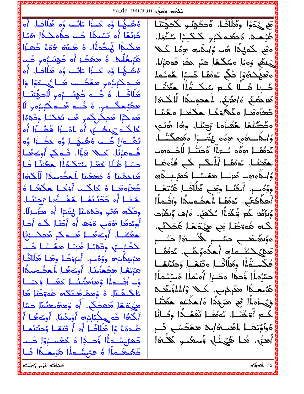Yalde Dmoran ەَھُىمْـا ۋە كْبــزا ئائــر ۋە ھُللائــا. أە هَي بُقْوَا وَهَلَلْقُا. هُحَكَمْبُ لَحَدَّيْتَنَا جَعْبُهُا أَو تَسْبِيهُا جُب حِذْوِيكُمُ الْجَمَالِ كَبْعِيهِ. هُجَعْدِكْبُرِ كَتَكْبِتْرَا سُنُوْمًا. محكَّماً لَمِخُملًا. ةَ مُصَنَّفَ 26% حَمَّ:ا هُمْ لَكُمْكُمْ أَهْبَ وُمُشْدُوهِ هِهُمْ لَمِيلاً هَبُعُلَٰهُ. ةُ ممكَّكُ: أُه كَهْشَبُومِ كُب لْهَمَعْ وُهِمَا مِمْكُمُا حَبَّ هَدْ قُومَزُنَا. ەَھَىكَىل ۋە گىسُرا ئانَّىپ ۋە ھَلَلاصًا. أَە ەھۈكەۋا ئىگ ئەمھا كسۇا خەشما كُمْدَيْرُومِ مِكْكَسِبٍ كَمَانٌ تَوْلَ وَلَ كَــِزِهُ هُــلًا كَــمِ سَكَــتُهُلَّا هَقَتْنَــل مَحَلَاتْكَ. ۚ ةَ `َ ذَـــم دَٰهِنَــــبُومِ ۖ لَاحِهَّتِنَـــل أَهْدِدِهَمَّ وَاهْبَضَ. لمُحجوبِ الْمَلَامُ الْكَلْمُوا هَمَيْمَكْسُمْ. ةُ ثُسْمَ هُسْمَكْيُبُومِ لَلْا كعتوه تسلم كالأوحا المحتف المتسلم هُدهِ: هُدِكْرِجُد هُد تَعكُمُ وَدْهَا هَكَتْتْتْعْلَى هَكَدْوَهَا رْحِنْنَا. وِهَا هُنَّمَ كَاكُوهُ رَبْعَهُ مِنْ أَوْ لِمُسْرَٰرٍ فَهُنْ أَوْ وُالْمَاكْسِيُّوْمِ وَوَّهِ وَقُوتَ الْمَحْمَدُّسُمْ). تُقُدِرُ الصَّدِينَ وَهُنَّكُمْ الْمُؤْمَّدِينَ وَهُوَ كَمْمَطْ الْمَمَّةِ مُسْتَدَالِّ الْمَحَنَّفُ الْمُسْمَّدِينَ فُـهِمْ ِنُلْ. كَــلا هَٰٓءُلْ. ثُــمكُمْ أُوحُوهُــل حَكْسُلَا. كَمُعُمَّا أَلْمَكْمِ كُبِ قُزْهِكُمَا حمّا هُـلًا حَمَّا مَتكَـهُـلًا حَمَّتَـلَ حُـلًا وُأَمِلُهُ مِن مُنْ الْمُ مَعْسَلِ كَعَبْتِ الْمُلَامِنَ هَرَحِمَّيَّلَ وَ تَعْهَيْنَا أَحْدُومِكَ لَأَكْرَوُا ووَّهُ بِ. أَمَّتُـا وقِبِ مَحلَّاتٌـا هَبَّـهَـا دُهتُوهْما وُ حُلِكُب أَوْجُما حَكْمُما وُ <u>هَّسُا أَه حُحْسَسُا هَدُّ أَها رَجِسُ</u>ا. أَهِكُوَنِّي. يُوهُمُّا لِمُعَشَّومِيكَا وَاضْعِلَّا .وحَكْمَ هَبْر وحْلاهُ مْلْ لِتَّبْتِرَا أَو هتَنِ الْ أَوَّلاَّهُمْ لَمُع وُّكُمُدًّا يُكْفَّى. وُافْ وَيَكْزَب أُوعُوهُا وَوْمَى وْوْهِ أَو أَحْسَا كُلُّ أَصُلَّ كُه هُوَوْخُنَا ثَبِي هِيَّةِ هَا هُدْكَبٍ. لْمَعَكّْنُا، أُوْجَعَعُنَا مُنْتَدِيًّا مُنْتَقِيلًا مُحَمَّدَيْنًا ەۋىقىقىپ ھئىسىر لگىسى ھار ھئىسىر للصُبِّبَ وَثَمَّنَا هُزَئَا مَعْسُنَا شَبّ تَعطيُم السَّماءُ مِنَّامَةٍ مَنْ مَا مَعْنَامِ مِنْ مَعْنَامِ مِنْ مِنْ مِنْ مِنْ هِبْمِيكُمْوْنِ وَوَمْبٍ. أَمْرَوْهُا وِهَا هَٰلَكَلَاتْنَا فكَّستُهُلُا ومُلَلاَتْها مثنفها وُحَنَّتْمُها هِ تِمْا هِجُمْ مِنَا. أُوهُ هَا أُحِدُ مِمْاً حَمَّزُه أَ أَحَدًّا هَضَّرًا أَهْمُهَا أَهْلِمُ الْمَسْرَحُما وًبِ ٱقْــولَمَا وْهِزُمْتَنِيلِ كَعَبْ لِأَحْتِــلِ كَبْرِهِـدًا مِكْرِجْتٍ. كَمَلا وْالْمَلْوُحْمَدِ <u>ٵڴٮڡٞٮٲ</u>ٳ؞؋۫؋ڡۿۥڡٞٮڵڰۄ؋ۿۊڎڟٲۿٳ لَّتَمَعُمُ عِنْهُمَاهُ الْمَجِيَّةِ مِعَالَمِينَ مِعَانِّيْتِهِ هيَّ هَا هُدَمَكَ . أَه وْهِهُ هِنَّا حَمَّا كُم أَوْكُنْمِلْ. كَمُعْصَلِ نَفْعُكُمْلِ وَكَالْنَا أَكْثَرُا شَمْ كِكْبَابْتِرْ \$أَوْحَكْمَا } أُوحُدَثَنَا } هُوَاوُتِهْمَا لِمُعْمَدُهُ إِنَّ هَمُّدَّسُبِ كَبِ هُــوهَا وَا هَٰلَاتْـا أَو أَ تَتَمْـا وَحتَتَمُـا ِّدْهَبْسُــماْل وَّدـــدا ۞ كَعْســـرْوْل شَــب أهتُو. هُـا هَيُمْلُ وَّسطَبِ كَلَـهُ! دَّهُىشُـه|اْ هُ فَهُنْـه|اْ هُزَىمـداْ نُــا بمنفته بنه بمنهم  $x + \frac{1}{2}$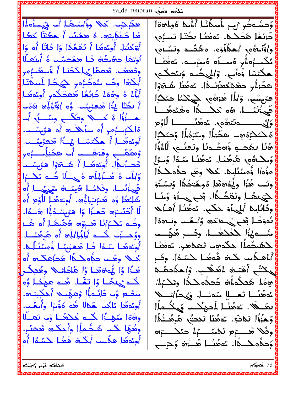Yalde Dmoran مَعَكَرِدِيِّمِ. كَمَلاً وَذَاعِمُهِكُمْ أَمَّا قَيْمِلْأَهَلْهِ وَحِسَّـٰوَحُو رَبِّ أَمْـٰلاً ٱلْمَـٰٰمَ وَٰٓوَاهُ ا قْدَا خَبْلُهُ تَهُمْ. ۚ وَ مَعْيِنُب أَ هَمَيْتُنَا خَطَبَا كَرْتُمُا هُصْكُمْ. عَمُّتُنَا بِحُثْنَا تَسْرُى أَوْكُنُنَا. أَوِكَمَكَا أَ تَفَعُدُا وَا كَاتْنَا أَه وَا وِإِوَّٱللَّهُ) أَلْعَلَّاؤُوْهِ. وَهُشُده وِلْشَاهِ) أوتقا حدَّمَدُو دُا مِعَدِسُب ﴾ أَعلَما ئْكْسِيُّەلُم ەَمساُە ەَمىُتِسە. ئەھُلْسا وتَعتَفُ. قَتْمَمَّاحِ الْكَتْبَاحُ وَّسْعَكْرُهُ وَ هَكْتَسْلَ وُهَنَّبٍ. وْإِيْلِيحْسَمْ وَتَتَحَكَّمِ أَكْدُا وحٌم مُنْحَضُرُه لِمَكْكُل لَمَعَدُّلَ هجَزْمُ حِمْدَكُمْزَتُنَدُّا. عَمْمُنَا هُــقَوْا ٱيْلَا ةُ وِهُمَّا حَرْبُهُا هُـعثَـكُـومِ ٱوجَـهَـكَـا هَجَمِسٌ وَٱلْمَا هُزْهُمْ ۖ كَهَكْمًا حَكَمْ! اً بِحَثَّا لِہُٗا مُعْمَٰنِیٌ۔ وُہ اِوَّٰٓآہِآاُہ ہَٰہٗت فَيْ زُنُنَـــا. 6ه تَعَــــدُا هِ هُنُوهُـــا حَسَنُوًّا ۚ كَسَلًا وَتَكُسَّ وِسُسَلَىٰ أَبَّ ِّوۡ﴾ُ ِ \_\_\_\_\_\_\_ەَتَّەْٯ. كەھُكَـــــــــا لَّاوُم ەَاڭگۇسۇەم أە مىڭلاشەن أە ھۇمئىسە. هَكْكُرْةُهِ هَجَّنَّهُمْ الْمُتَرَهُمُ الْمُحَكِّرَا أوحَمَعُكُمْ أَنْ هَكْتُسْمَلْ لِيُدُلْ شَعْرُمُكُمْ. هُنُا بِمُحْبِ ذُهِشُوبُا وِتَعِنُـمِ لَلْلَؤُا وْهِلُكُبِ وِقْرْهُــــد أَنْ هَجَّرْلُمَــــرُّەر وَّىكِيُّەن هُرِهُنَا. مُوهُنُا مِنْدُا وُسِوُل حْصِبُواْ. أُوعَوهُما أَرْ هُمْوَا فَوُسِيُّب وَوُواْل وُوسُلُلِهِ. كَمَلا وِقْعٍ حَذْوَهَكُمَا وَإِلَىٰ يَ هُدَٰ بَالْمَاهِ يَ صَلَّا حُدِ مَكْرَا وِنَىب هُذَا وِلْقَەهْدا ەُوھَۃِحُکَٰا وَسَنَۃَوْ فَيْ أَسْرِيمَهُ فَيَشْرَفَهُ لَيْمَاهُ وَذَٰهَا أَوْ لْحَيْ بِمُعَالِ وِتَقْدُلُهِ!. بْعَبِي حَلَّوْ وَمِنْطِ هَاسُعًا وُه هَٰدَتِ إِلَيهِ. أُوسَعَدا لِلْوُمِ أُه وِدَّائلِهِ ٱلْمَهَارَةِ حَكَيْبٍ. عَمَّقُنَا أَهْذَه لَّا أَحْسُبْهِ حَمَـٰٓا وَا هوَّبْتَـٰهُۚ أَا هُــَـهْ!. لَهُوَهُـا بْنَــهِ يُــهُ/هَــهِ وَٱلْـمَــنَـــهِ وَٱلْــهِ وَٱلْــهِ وَٱلْــهِ وَٱلْــهِ وَٱلْــه وضُّم عَكَّمُ/يُلْ هُــروْن وَهُهُـهُــل أَن هُـــر مُنْدَمِيْزًا حَكُحْثَكَ. وكُتَبِ هُدَّيَــب ووُحسَنُ جُده أَبْلُؤُبْاابْلُه أَه هَرمُنُكِ. لحَكَمثُماُ الْمَحْدَوِبِ تَتَعَمَّقُونَ مُوَمُّلًا } أُوعَقَدا مَعْدًا قُلْ قَعْفَهُمَا وُّومَنُكُلُّهَ. ٱلملاحكامب لحُث هُءهُما لهندُهُا. وضَرِ كُمِلًا وهُمِ حَذُّوهُ حَذًّا هُجَّوَهُمْ مِنْ أَو أَيكْتُبُ أَقْتِيهُ لمَكْلَّفٍ. وْاحْكُمْحَكْمْ هُدُا وَا يُوقِقْهَا وَا هَاجَاتِيْ وَهُدِكُمْ أوەُلم ھَعِنْدَاُه حَجَدُّە لِكَلَّا وَيَكْبَلُهَ ۚ لَّكُمْ يُبْشَأُ وَلَا تَشْأَرُ. هُـُـمْ هَهُكُـأَ وُه عْتْصُمْ وُبِ كَانُجَةًا وْمِثْهَبْلَا أَحْكَيْتُمْ. أَعْمَٰنُكُمْ أَحْسَالًا مْدَسُلًا. وَيُحَزَّانَكُمْ الْمُسْتَخَارَ أُوحَدِهَا عَلَيْبِ هَٰذِلًا هُدِ دَٰؤُكُمْ! وأُسْفَعٍ. ىغَـــلَّا . مَەمُنُــل لْمَكْــبِ وَلَكُــمَلَّا وهُوْا مَكِيدًا كُنْ حُكْفُ وَبِ تَعْطُلُ وَحَزُوْا تَدَدْنَ. عَمِّصُا تَحْدُثِه هَرِهُــتُدَّا وهُكُمَا كُب هَيضُوبُا وأُحكُنه شَعْبُ. وفُلا مْسْتَوْمْ لْكُمَسْتَهَا حَنْكَسْتَرْه أُوعَقَدَا هِمُّسَتَ أَلَّكُ وَهُدَا لَكُنَّهُ أَهْ وَحِدُّهِ حَــدًا. عَهِمُنَــا هُـــزُق وَحْسِب

بَدْيُمَامِ بَهْدِ بَمَهْرَسُمْ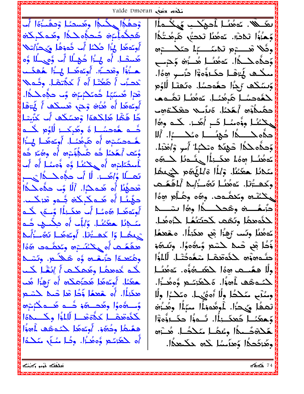Yalde Dmoran وْحِفْجًا بِكُمْلَ وَهُسِجِيًا وْحِفْيَةُ أَيْ لِلْمَكْلِ \$ مَعْنُما الْحَوْكَبِ وَلَيَكْمَدُ هَجِدُهَأَءَةَ حُجِدُوجِكُمَا وَهُجِكُرِكَةَ وَحَزُوْا لَـٰاحْزَا. عَـٰهِمُلا لَـٰحتُنِي هَٰٓرِهُـنَـٰٰٓهُا أُوعَمَعًا لِيَٰٓا عَكْمًا أَبِ شُوَفًا وَيَحَزَّابْنَا وفُلا تَعْسَرْمِ لَكُلِّمَتّْسَهُمْ حَكَمْسَرْوِهِ هَسْشَا. أَو لِيُزَا حُمْيِلًا أَبٍ وَّوَسِيلًا وَّو وَحِدُّه كَــدًا. عَهِمُنُــل مُـــزُنَه وَحَرَــبِ لمسْرُوُّا وقَدْرًا، أُويُوهَما إِنَّ أَلْمُعَمَّد مىڭى گَتِقْط حكْلُوُّەۋْا دُّىب ھِەُل تحدُّب أَ هَعُثْا أَه أَ كَـدُّتِهْـا. وشُـملا وَسَكْفَ رَجِزًا حَمَّوصُاً. وتَعْفَا لَٰاوُمِ قَدَا مُسْبَبَا شُمَكْبَرَة وُ حَذْهِكُمَا. للغُوصيُا هُرِهُيُا. عَمَّنُا تَعْدِم أُوعُوهُا أُو هُدُوهُ وَحْرٍ، هُسكُفَ أَ يُتِوْقَا حَصَّمُوْهِ أَحَمْدُا. هَبِّسِد حَعْكَتَهِ و كَا فَتْقَا هَٰلِكُهَا وْهِسَّكُفْ أَبْ كُثِيْنَا ۖ حكنُسًا وذُهبُسًا جَبِ أُهَدٍ. كُنْ وَهُ! حُّــه هُوَجِسًا و وَهُرَكَـــز لْلوُم كُـــو احدُّہ حـــــدُّا حُجِبُـــــا ہ ِحْــــــــرُا. أَلَّا هُــوصنَّتْرُه أَو هَرمُنْــل أَوْجَوهَــل لِــزُل وَحِدُّه حَدًا شَهْنَهُ مَحْكَمَا أَسِ وَاهْنَا. وُكَمَا أَـمَّحْنَا شُو هَٰٓىٰدِ}ُوَّةٍ۞ أَو وَهُكَا شُو مَهْكُ الْمَسْرِ الْمَنْكُمُ لَاهُمْ لَكْمَمْ أَستَتَاتِرُه أَنْ يَكْتُبُلْ وُهِ وُدْسَا أَهِ أَب لَّهْدِيَّكُ pهْكِذَانَ الْمَامَ الْمُكْتَبِدِينَ الْمَكْتَبِينَ مِنْ الْمَسْتَدَبِينَ الْمَاسَةِينَ تَحْسَلًا وُ}هَٰتَ:. لًا أَبَّ حَذَّهِ حَسَمًا ﴾ وكعثرال كمعُنا نَهْنزُاكا أَلمَعْت مْحِجُبًا أَو مُحِجَدًا. أَلَّا وُبِ حِذْوِجِجًا! لمكلَّفه وتُعقَّده. وهُه وهُلُّص ١٥٥ دجُسُا أَه مُحمكْرِكَة فُحو قَرَبْكُت. أُوحُوهُـا رَهُوسُـا أَب هذَـٰهَٰا وَّــمَىٰ لَّــو َكْدُەبْمَا وِنَتْعَبْ كُحِنَّنْتُمَا كَرُوهُـا. مَنْ الْمَعْنُفُ أَنْ أَوْلَٰهِ مَنْ الْمَسْمَلِ وَالْمَسْمَلِينَ وَالْمَسْمَلِينَ وَالْمَسَاءِ غَمْمُلًا وِنَس رَجْزًا بْعِي هَذَالًا. مَعْعَمُا يْ بِعْضًا وَلَ حُدْثَتُوْلَ. أُوجَعَعَبَا تَعَفُّ أَيْضًا ؤُكُل بْعِي صْحْدْ حْشَعْ وُ حُوَّەوُ!. وِنَتْدَىٰوْ هذه صصفه ومحدثك وأيضفه حنُّـه%و كِنُمقط سَعُمكُنْـا. لَٰالمُؤا وهُمُعنهُ احْبُسْدِهِ وُهِ هْلِلُسِمْ. وِنُسْبِهِ وِلَا هِمَّــم هِهُ| لِكَعَّــهُؤُه. عَمْنُــل لَّكُمْ يُمْعَظُلُ وَهُجَكُمْ أَرْتَقْلُ لَكُب هعَدُا. أُويُوهَا هُدَرُهكُلُو أُو رُقِرًا هُب لكتمعْف لْمَوْلُ مَكْفَرْسُم وُمِعْيَرُا. هدًا أن أن همها وُدًا هَا دُما لَه الله عليه ومُنْهَى مَكْحُا وِلَا أُهْوُلِ). هَكْجًا وِلَا وًْكُووُا وِهُدَدُوْ دُعِ هُدَ هُدَا تَعِجَّا وَحَدُّا. لَمُوشَوْدَاً مِبْدَاً وِهُدُّوْه لْحُدْوَمْكُمْ حَدُّوْمَكُمْ لَّالِمُوْلُ وَلَحْسَمِهَا وَحِعَدُكُمْ حَعِدًى زِلْمٍ. ثَــوزُا حَكَــارْوُهِ وْا فَعَمْعًا وَجُوَّوْ. أُويُوهَا كَيُوهُفْ أَوْوُا هَجْوَجَسِجُلَ وَعُجُمِلٍ مَجْجُمٍلٍ هُجْرَوهِ أَه لِمَعْنَـٰمِ وَْهِمْـَٰٓا. وِضًا مُنَلٍّ مَكْــهُا وهَزِدُهِمَا وَهِزَمِيْهِا كَلَّهِ حَكْمِهِمَا.

بَدْيُمَامِ بَهْدِ بَمَهْرَسُمْ